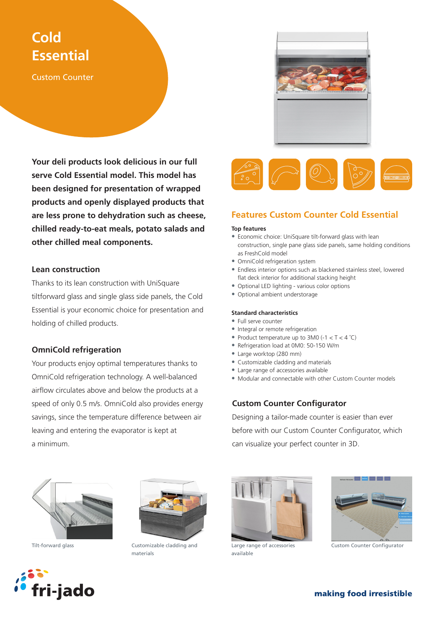# **Cold Essential**

Custom Counter

**Your deli products look delicious in our full serve Cold Essential model. This model has been designed for presentation of wrapped products and openly displayed products that are less prone to dehydration such as cheese, chilled ready-to-eat meals, potato salads and other chilled meal components.**

### **Lean construction**

Thanks to its lean construction with UniSquare tiltforward glass and single glass side panels, the Cold Essential is your economic choice for presentation and holding of chilled products.

# **OmniCold refrigeration**

Your products enjoy optimal temperatures thanks to OmniCold refrigeration technology. A well-balanced airflow circulates above and below the products at a speed of only 0.5 m/s. OmniCold also provides energy savings, since the temperature difference between air leaving and entering the evaporator is kept at a minimum.



# **Features Custom Counter Cold Essential**

### **Top features**

- Economic choice: UniSquare tilt-forward glass with lean construction, single pane glass side panels, same holding conditions as FreshCold model
- OmniCold refrigeration system
- Endless interior options such as blackened stainless steel, lowered flat deck interior for additional stacking height
- Optional LED lighting various color options
- Optional ambient understorage

#### **Standard characteristics**

- Full serve counter
- Integral or remote refrigeration
- Product temperature up to  $3MO(-1 < T < 4°C)$
- Refrigeration load at 0M0: 50-150 W/m
- Large worktop (280 mm)
- Customizable cladding and materials
- Large range of accessories available
- Modular and connectable with other Custom Counter models

# **Custom Counter Configurator**

Designing a tailor-made counter is easier than ever before with our Custom Counter Configurator, which can visualize your perfect counter in 3D.





Tilt-forward glass Customizable cladding and materials



Large range of accessories available



Custom Counter Configurator



making food irresistible